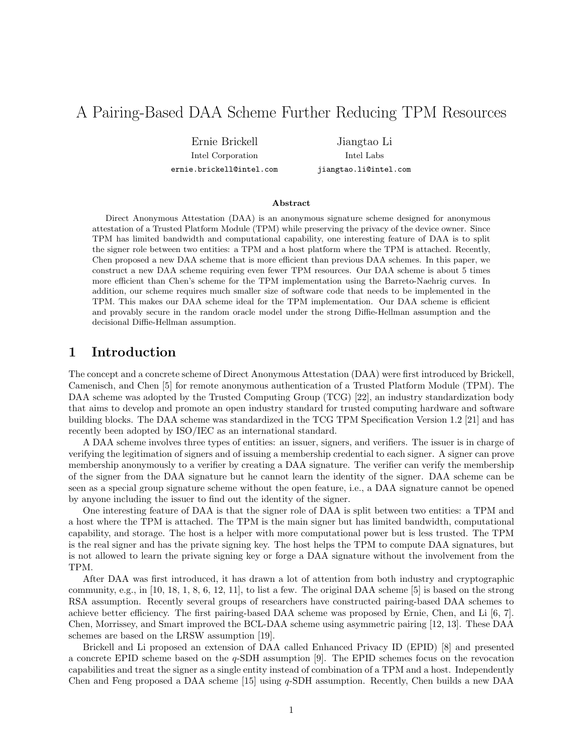# A Pairing-Based DAA Scheme Further Reducing TPM Resources

Ernie Brickell Intel Corporation ernie.brickell@intel.com

Jiangtao Li Intel Labs jiangtao.li@intel.com

#### Abstract

Direct Anonymous Attestation (DAA) is an anonymous signature scheme designed for anonymous attestation of a Trusted Platform Module (TPM) while preserving the privacy of the device owner. Since TPM has limited bandwidth and computational capability, one interesting feature of DAA is to split the signer role between two entities: a TPM and a host platform where the TPM is attached. Recently, Chen proposed a new DAA scheme that is more efficient than previous DAA schemes. In this paper, we construct a new DAA scheme requiring even fewer TPM resources. Our DAA scheme is about 5 times more efficient than Chen's scheme for the TPM implementation using the Barreto-Naehrig curves. In addition, our scheme requires much smaller size of software code that needs to be implemented in the TPM. This makes our DAA scheme ideal for the TPM implementation. Our DAA scheme is efficient and provably secure in the random oracle model under the strong Diffie-Hellman assumption and the decisional Diffie-Hellman assumption.

### 1 Introduction

The concept and a concrete scheme of Direct Anonymous Attestation (DAA) were first introduced by Brickell, Camenisch, and Chen [5] for remote anonymous authentication of a Trusted Platform Module (TPM). The DAA scheme was adopted by the Trusted Computing Group (TCG) [22], an industry standardization body that aims to develop and promote an open industry standard for trusted computing hardware and software building blocks. The DAA scheme was standardized in the TCG TPM Specification Version 1.2 [21] and has recently been adopted by ISO/IEC as an international standard.

A DAA scheme involves three types of entities: an issuer, signers, and verifiers. The issuer is in charge of verifying the legitimation of signers and of issuing a membership credential to each signer. A signer can prove membership anonymously to a verifier by creating a DAA signature. The verifier can verify the membership of the signer from the DAA signature but he cannot learn the identity of the signer. DAA scheme can be seen as a special group signature scheme without the open feature, i.e., a DAA signature cannot be opened by anyone including the issuer to find out the identity of the signer.

One interesting feature of DAA is that the signer role of DAA is split between two entities: a TPM and a host where the TPM is attached. The TPM is the main signer but has limited bandwidth, computational capability, and storage. The host is a helper with more computational power but is less trusted. The TPM is the real signer and has the private signing key. The host helps the TPM to compute DAA signatures, but is not allowed to learn the private signing key or forge a DAA signature without the involvement from the TPM.

After DAA was first introduced, it has drawn a lot of attention from both industry and cryptographic community, e.g., in [10, 18, 1, 8, 6, 12, 11], to list a few. The original DAA scheme [5] is based on the strong RSA assumption. Recently several groups of researchers have constructed pairing-based DAA schemes to achieve better efficiency. The first pairing-based DAA scheme was proposed by Ernie, Chen, and Li [6, 7]. Chen, Morrissey, and Smart improved the BCL-DAA scheme using asymmetric pairing [12, 13]. These DAA schemes are based on the LRSW assumption [19].

Brickell and Li proposed an extension of DAA called Enhanced Privacy ID (EPID) [8] and presented a concrete EPID scheme based on the  $q$ -SDH assumption [9]. The EPID schemes focus on the revocation capabilities and treat the signer as a single entity instead of combination of a TPM and a host. Independently Chen and Feng proposed a DAA scheme  $|15|$  using q-SDH assumption. Recently, Chen builds a new DAA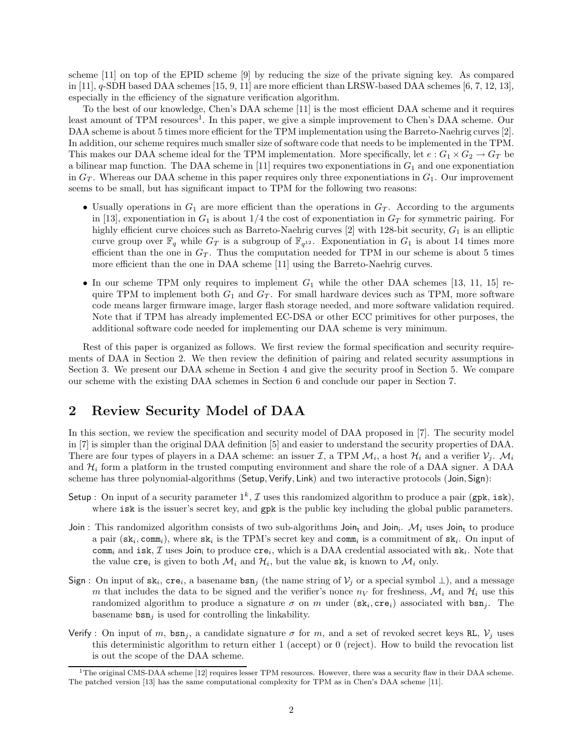scheme [11] on top of the EPID scheme [9] by reducing the size of the private signing key. As compared in [11],  $q$ -SDH based DAA schemes [15, 9, 11] are more efficient than LRSW-based DAA schemes [6, 7, 12, 13], especially in the efficiency of the signature verification algorithm.

To the best of our knowledge, Chen's DAA scheme [11] is the most efficient DAA scheme and it requires least amount of TPM resources<sup>1</sup>. In this paper, we give a simple improvement to Chen's DAA scheme. Our DAA scheme is about 5 times more efficient for the TPM implementation using the Barreto-Naehrig curves [2]. In addition, our scheme requires much smaller size of software code that needs to be implemented in the TPM. This makes our DAA scheme ideal for the TPM implementation. More specifically, let  $e: G_1 \times G_2 \to G_T$  be a bilinear map function. The DAA scheme in [11] requires two exponentiations in  $G_1$  and one exponentiation in  $G_T$ . Whereas our DAA scheme in this paper requires only three exponentiations in  $G_1$ . Our improvement seems to be small, but has significant impact to TPM for the following two reasons:

- Usually operations in  $G_1$  are more efficient than the operations in  $G_T$ . According to the arguments in [13], exponentiation in  $G_1$  is about  $1/4$  the cost of exponentiation in  $G_T$  for symmetric pairing. For highly efficient curve choices such as Barreto-Naehrig curves  $[2]$  with 128-bit security,  $G_1$  is an elliptic curve group over  $\mathbb{F}_q$  while  $G_T$  is a subgroup of  $\mathbb{F}_{q^{12}}$ . Exponentiation in  $G_1$  is about 14 times more efficient than the one in  $G_T$ . Thus the computation needed for TPM in our scheme is about 5 times more efficient than the one in DAA scheme [11] using the Barreto-Naehrig curves.
- In our scheme TPM only requires to implement  $G_1$  while the other DAA schemes [13, 11, 15] require TPM to implement both  $G_1$  and  $G_T$ . For small hardware devices such as TPM, more software code means larger firmware image, larger flash storage needed, and more software validation required. Note that if TPM has already implemented EC-DSA or other ECC primitives for other purposes, the additional software code needed for implementing our DAA scheme is very minimum.

Rest of this paper is organized as follows. We first review the formal specification and security requirements of DAA in Section 2. We then review the definition of pairing and related security assumptions in Section 3. We present our DAA scheme in Section 4 and give the security proof in Section 5. We compare our scheme with the existing DAA schemes in Section 6 and conclude our paper in Section 7.

## 2 Review Security Model of DAA

In this section, we review the specification and security model of DAA proposed in [7]. The security model in [7] is simpler than the original DAA definition [5] and easier to understand the security properties of DAA. There are four types of players in a DAA scheme: an issuer  $\mathcal{I}$ , a TPM  $\mathcal{M}_i$ , a host  $\mathcal{H}_i$  and a verifier  $\mathcal{V}_j$ .  $\mathcal{M}_i$ and  $\mathcal{H}_i$  form a platform in the trusted computing environment and share the role of a DAA signer. A DAA scheme has three polynomial-algorithms (Setup, Verify, Link) and two interactive protocols (Join, Sign):

- Setup : On input of a security parameter  $1^k$ ,  $\mathcal I$  uses this randomized algorithm to produce a pair (gpk, isk), where isk is the issuer's secret key, and gpk is the public key including the global public parameters.
- Join : This randomized algorithm consists of two sub-algorithms Join<sub>t</sub> and Join<sub>i</sub>.  $\mathcal{M}_i$  uses Join<sub>t</sub> to produce a pair  $(\texttt{sk}_i, \texttt{comm}_i)$ , where  $\texttt{sk}_i$  is the TPM's secret key and comm<sub>i</sub> is a commitment of  $\texttt{sk}_i$ . On input of comm<sub>i</sub> and isk, I uses Join<sub>i</sub> to produce  $\text{cre}_i$ , which is a DAA credential associated with  $\text{sk}_i$ . Note that the value  $\text{cre}_i$  is given to both  $\mathcal{M}_i$  and  $\mathcal{H}_i$ , but the value  $\text{sk}_i$  is known to  $\mathcal{M}_i$  only.
- Sign : On input of sk<sub>i</sub>, cre<sub>i</sub>, a basename bsn<sub>j</sub> (the name string of  $\mathcal{V}_j$  or a special symbol  $\perp$ ), and a message m that includes the data to be signed and the verifier's nonce  $n<sub>V</sub>$  for freshness,  $\mathcal{M}_i$  and  $\mathcal{H}_i$  use this randomized algorithm to produce a signature  $\sigma$  on m under ( $sk_i, cre_i$ ) associated with  $bsn_j$ . The basename  $bsn_i$  is used for controlling the linkability.
- Verify : On input of m,  $bsn_j$ , a candidate signature  $\sigma$  for m, and a set of revoked secret keys RL,  $\mathcal{V}_j$  uses this deterministic algorithm to return either 1 (accept) or 0 (reject). How to build the revocation list is out the scope of the DAA scheme.

 $1$ The original CMS-DAA scheme [12] requires lesser TPM resources. However, there was a security flaw in their DAA scheme. The patched version [13] has the same computational complexity for TPM as in Chen's DAA scheme [11].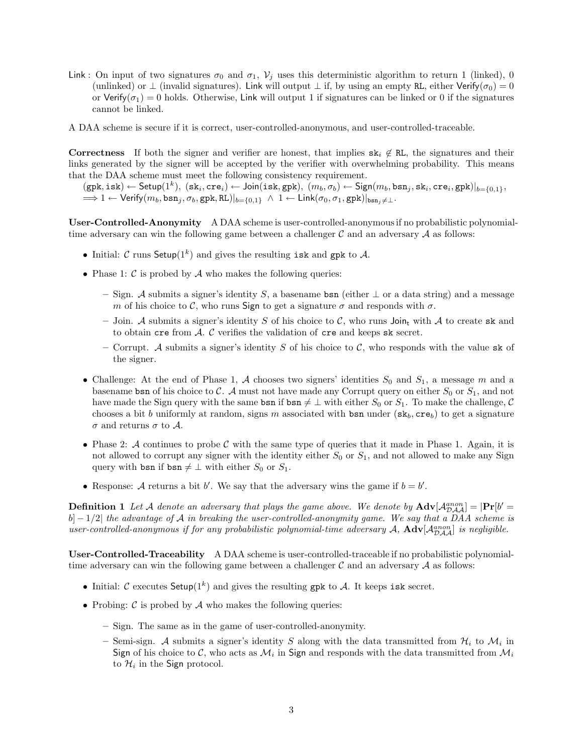- Link : On input of two signatures  $\sigma_0$  and  $\sigma_1$ ,  $\mathcal{V}_j$  uses this deterministic algorithm to return 1 (linked), 0 (unlinked) or  $\perp$  (invalid signatures). Link will output  $\perp$  if, by using an empty RL, either Verify( $\sigma_0$ ) = 0 or Verify( $\sigma_1$ ) = 0 holds. Otherwise, Link will output 1 if signatures can be linked or 0 if the signatures cannot be linked.
- A DAA scheme is secure if it is correct, user-controlled-anonymous, and user-controlled-traceable.

Correctness If both the signer and verifier are honest, that implies  $sk_i \notin R$ L, the signatures and their links generated by the signer will be accepted by the verifier with overwhelming probability. This means that the DAA scheme must meet the following consistency requirement.

 $(\texttt{gpk}, \texttt{isk}) \leftarrow \textsf{Setup}(1^k),~(\texttt{sk}_i, \texttt{cre}_i) \leftarrow \textsf{Join}(\texttt{isk}, \texttt{gpk}),~(m_b, \sigma_b) \leftarrow \textsf{Sign}(m_b, \texttt{bsn}_j, \texttt{sk}_i, \texttt{cre}_i, \texttt{gpk})|_{b=\{0,1\}},$  $\Rightarrow 1 \leftarrow$  Verify $(m_b, \text{bsn}_j, \sigma_b, \text{gpk}, \text{RL})|_{b=\{0,1\}} \wedge 1 \leftarrow \text{Link}(\sigma_0, \sigma_1, \text{gpk})|_{\text{bsn}_i \neq \perp}.$ 

User-Controlled-Anonymity A DAA scheme is user-controlled-anonymous if no probabilistic polynomialtime adversary can win the following game between a challenger  $\mathcal C$  and an adversary  $\mathcal A$  as follows:

- Initial:  $\mathcal C$  runs Setup(1<sup>k</sup>) and gives the resulting isk and gpk to  $\mathcal A$ .
- Phase 1:  $\mathcal C$  is probed by  $\mathcal A$  who makes the following queries:
	- Sign. A submits a signer's identity S, a basename **bsn** (either  $\perp$  or a data string) and a message m of his choice to C, who runs Sign to get a signature  $\sigma$  and responds with  $\sigma$ .
	- Join. A submits a signer's identity S of his choice to C, who runs Join<sub>t</sub> with A to create sk and to obtain cre from A. C verifies the validation of cre and keeps sk secret.
	- Corrupt. A submits a signer's identity S of his choice to C, who responds with the value sk of the signer.
- Challenge: At the end of Phase 1, A chooses two signers' identities  $S_0$  and  $S_1$ , a message m and a basename bsn of his choice to  $\mathcal{C}$ . A must not have made any Corrupt query on either  $S_0$  or  $S_1$ , and not have made the Sign query with the same  $bsn$  if  $bsn \neq \bot$  with either  $S_0$  or  $S_1$ . To make the challenge, C chooses a bit b uniformly at random, signs m associated with bsn under  $(\mathbf{sk}_b, \mathbf{cre}_b)$  to get a signature  $\sigma$  and returns  $\sigma$  to A.
- Phase 2: A continues to probe C with the same type of queries that it made in Phase 1. Again, it is not allowed to corrupt any signer with the identity either  $S_0$  or  $S_1$ , and not allowed to make any Sign query with bsn if bsn  $\neq \perp$  with either  $S_0$  or  $S_1$ .
- Response: A returns a bit b'. We say that the adversary wins the game if  $b = b'$ .

**Definition 1** Let A denote an adversary that plays the game above. We denote by  $\text{Adv}[\mathcal{A}_{\mathcal{D}\mathcal{A}\mathcal{A}}^{anon}] = |\textbf{Pr}[b']|$  $|b| - 1/2|$  the advantage of A in breaking the user-controlled-anonymity game. We say that a DAA scheme is user-controlled-anonymous if for any probabilistic polynomial-time adversary  $A$ ,  $\text{Adv}[\mathcal{A}^{anon}_{\mathcal{D}AA}]$  is negligible.

User-Controlled-Traceability A DAA scheme is user-controlled-traceable if no probabilistic polynomialtime adversary can win the following game between a challenger  $\mathcal C$  and an adversary  $\mathcal A$  as follows:

- Initial:  $\mathcal C$  executes Setup(1k) and gives the resulting gpk to  $\mathcal A$ . It keeps isk secret.
- Probing:  $\mathcal C$  is probed by  $\mathcal A$  who makes the following queries:
	- Sign. The same as in the game of user-controlled-anonymity.
	- Semi-sign. A submits a signer's identity S along with the data transmitted from  $\mathcal{H}_i$  to  $\mathcal{M}_i$  in Sign of his choice to C, who acts as  $\mathcal{M}_i$  in Sign and responds with the data transmitted from  $\mathcal{M}_i$ to  $\mathcal{H}_i$  in the Sign protocol.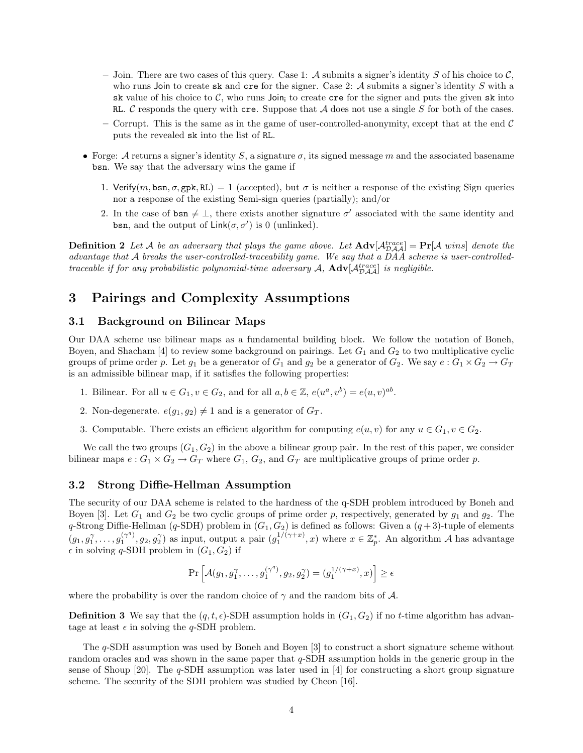- Join. There are two cases of this query. Case 1: A submits a signer's identity S of his choice to  $\mathcal{C}$ . who runs Join to create sk and cre for the signer. Case 2:  $A$  submits a signer's identity  $S$  with a sk value of his choice to C, who runs Join; to create cre for the signer and puts the given sk into RL. C responds the query with cre. Suppose that  $A$  does not use a single S for both of the cases.
- Corrupt. This is the same as in the game of user-controlled-anonymity, except that at the end  $\mathcal C$ puts the revealed sk into the list of RL.
- Forge: A returns a signer's identity S, a signature  $\sigma$ , its signed message m and the associated basename bsn. We say that the adversary wins the game if
	- 1. Verify $(m, \text{bsn}, \sigma, \text{gpk}, RL) = 1$  (accepted), but  $\sigma$  is neither a response of the existing Sign queries nor a response of the existing Semi-sign queries (partially); and/or
	- 2. In the case of  $bsn \neq \perp$ , there exists another signature  $\sigma'$  associated with the same identity and bsn, and the output of  $\text{Link}(\sigma, \sigma')$  is 0 (unlinked).

**Definition 2** Let A be an adversary that plays the game above. Let  $\text{Adv}[\mathcal{A}_{\mathcal{D}\mathcal{A}\mathcal{A}}^{trace}] = \Pr[\mathcal{A} \text{ wins}]$  denote the advantage that  $A$  breaks the user-controlled-traceability game. We say that a DAA scheme is user-controlledtraceable if for any probabilistic polynomial-time adversary  $A$ ,  $\text{Adv}[\mathcal{A}_{DAA}^{trace}]$  is negligible.

### 3 Pairings and Complexity Assumptions

### 3.1 Background on Bilinear Maps

Our DAA scheme use bilinear maps as a fundamental building block. We follow the notation of Boneh, Boyen, and Shacham [4] to review some background on pairings. Let  $G_1$  and  $G_2$  to two multiplicative cyclic groups of prime order p. Let  $g_1$  be a generator of  $G_1$  and  $g_2$  be a generator of  $G_2$ . We say  $e: G_1 \times G_2 \to G_T$ is an admissible bilinear map, if it satisfies the following properties:

- 1. Bilinear. For all  $u \in G_1, v \in G_2$ , and for all  $a, b \in \mathbb{Z}$ ,  $e(u^a, v^b) = e(u, v)^{ab}$ .
- 2. Non-degenerate.  $e(g_1, g_2) \neq 1$  and is a generator of  $G_T$ .
- 3. Computable. There exists an efficient algorithm for computing  $e(u, v)$  for any  $u \in G_1, v \in G_2$ .

We call the two groups  $(G_1, G_2)$  in the above a bilinear group pair. In the rest of this paper, we consider bilinear maps  $e: G_1 \times G_2 \to G_T$  where  $G_1, G_2$ , and  $G_T$  are multiplicative groups of prime order p.

#### 3.2 Strong Diffie-Hellman Assumption

The security of our DAA scheme is related to the hardness of the q-SDH problem introduced by Boneh and Boyen [3]. Let  $G_1$  and  $G_2$  be two cyclic groups of prime order p, respectively, generated by  $g_1$  and  $g_2$ . The q-Strong Diffie-Hellman (q-SDH) problem in  $(G_1, G_2)$  is defined as follows: Given a  $(q+3)$ -tuple of elements  $(g_1, g_1^{\gamma}, \ldots, g_1^{(\gamma^q)}, g_2, g_2^{\gamma})$  as input, output a pair  $(g_1^{1/(\gamma+x)}, x)$  where  $x \in \mathbb{Z}_p^*$ . An algorithm A has advantage  $\epsilon$  in solving q-SDH problem in  $(G_1, G_2)$  if

$$
\Pr\left[\mathcal{A}(g_1,g_1^{\gamma},\ldots,g_1^{(\gamma^q)},g_2,g_2^{\gamma})=(g_1^{1/(\gamma+x)},x)\right] \geq \epsilon
$$

where the probability is over the random choice of  $\gamma$  and the random bits of A.

**Definition 3** We say that the  $(q, t, \epsilon)$ -SDH assumption holds in  $(G_1, G_2)$  if no t-time algorithm has advantage at least  $\epsilon$  in solving the q-SDH problem.

The q-SDH assumption was used by Boneh and Boyen [3] to construct a short signature scheme without random oracles and was shown in the same paper that q-SDH assumption holds in the generic group in the sense of Shoup [20]. The q-SDH assumption was later used in [4] for constructing a short group signature scheme. The security of the SDH problem was studied by Cheon [16].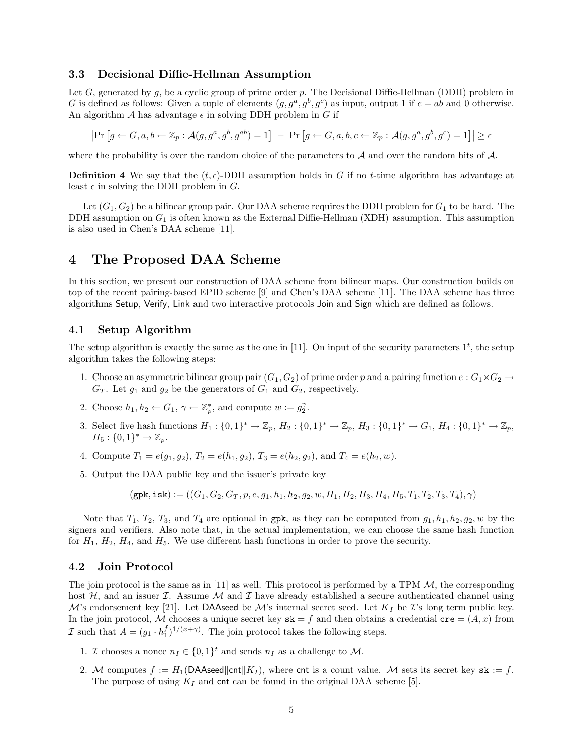#### 3.3 Decisional Diffie-Hellman Assumption

Let  $G$ , generated by  $g$ , be a cyclic group of prime order  $p$ . The Decisional Diffie-Hellman (DDH) problem in G is defined as follows: Given a tuple of elements  $(g, g^a, g^b, g^c)$  as input, output 1 if  $c = ab$  and 0 otherwise. An algorithm A has advantage  $\epsilon$  in solving DDH problem in G if

$$
\left| \Pr \left[ g \leftarrow G, a, b \leftarrow \mathbb{Z}_p : \mathcal{A}(g, g^a, g^b, g^{ab}) = 1 \right] - \Pr \left[ g \leftarrow G, a, b, c \leftarrow \mathbb{Z}_p : \mathcal{A}(g, g^a, g^b, g^c) = 1 \right] \right| \ge \epsilon
$$

where the probability is over the random choice of the parameters to  $A$  and over the random bits of  $A$ .

**Definition 4** We say that the  $(t, \epsilon)$ -DDH assumption holds in G if no t-time algorithm has advantage at least  $\epsilon$  in solving the DDH problem in G.

Let  $(G_1, G_2)$  be a bilinear group pair. Our DAA scheme requires the DDH problem for  $G_1$  to be hard. The DDH assumption on  $G_1$  is often known as the External Diffie-Hellman (XDH) assumption. This assumption is also used in Chen's DAA scheme [11].

### 4 The Proposed DAA Scheme

In this section, we present our construction of DAA scheme from bilinear maps. Our construction builds on top of the recent pairing-based EPID scheme [9] and Chen's DAA scheme [11]. The DAA scheme has three algorithms Setup, Verify, Link and two interactive protocols Join and Sign which are defined as follows.

### 4.1 Setup Algorithm

The setup algorithm is exactly the same as the one in [11]. On input of the security parameters  $1^t$ , the setup algorithm takes the following steps:

- 1. Choose an asymmetric bilinear group pair  $(G_1, G_2)$  of prime order p and a pairing function  $e : G_1 \times G_2 \to$  $G_T$ . Let  $g_1$  and  $g_2$  be the generators of  $G_1$  and  $G_2$ , respectively.
- 2. Choose  $h_1, h_2 \leftarrow G_1, \gamma \leftarrow \mathbb{Z}_p^*$ , and compute  $w := g_2^{\gamma}$ .
- 3. Select five hash functions  $H_1: \{0,1\}^* \to \mathbb{Z}_p$ ,  $H_2: \{0,1\}^* \to \mathbb{Z}_p$ ,  $H_3: \{0,1\}^* \to G_1$ ,  $H_4: \{0,1\}^* \to \mathbb{Z}_p$ ,  $H_5: \{0,1\}^* \to \mathbb{Z}_p.$
- 4. Compute  $T_1 = e(g_1, g_2), T_2 = e(h_1, g_2), T_3 = e(h_2, g_2),$  and  $T_4 = e(h_2, w)$ .
- 5. Output the DAA public key and the issuer's private key

 $(gpk, isk) := ((G_1, G_2, G_T, p, e, g_1, h_1, h_2, g_2, w, H_1, H_2, H_3, H_4, H_5, T_1, T_2, T_3, T_4), \gamma)$ 

Note that  $T_1$ ,  $T_2$ ,  $T_3$ , and  $T_4$  are optional in gpk, as they can be computed from  $g_1$ ,  $h_1$ ,  $h_2$ ,  $g_2$ ,  $w$  by the signers and verifiers. Also note that, in the actual implementation, we can choose the same hash function for  $H_1$ ,  $H_2$ ,  $H_4$ , and  $H_5$ . We use different hash functions in order to prove the security.

#### 4.2 Join Protocol

The join protocol is the same as in [11] as well. This protocol is performed by a TPM  $\mathcal{M}$ , the corresponding host  $H$ , and an issuer  $I$ . Assume  $M$  and  $I$  have already established a secure authenticated channel using M's endorsement key [21]. Let DAAseed be M's internal secret seed. Let  $K_I$  be T's long term public key. In the join protocol, M chooses a unique secret key  $sk = f$  and then obtains a credential  $\mathbf{cre} = (A, x)$  from *I* such that  $A = (g_1 \cdot h_1^f)^{1/(x+\gamma)}$ . The join protocol takes the following steps.

- 1. *I* chooses a nonce  $n_I \in \{0,1\}^t$  and sends  $n_I$  as a challenge to *M*.
- 2. M computes  $f := H_1(\text{DAAseed} \|\text{cnt}|K_I)$ , where cnt is a count value. M sets its secret key sk := f. The purpose of using  $K_I$  and cnt can be found in the original DAA scheme [5].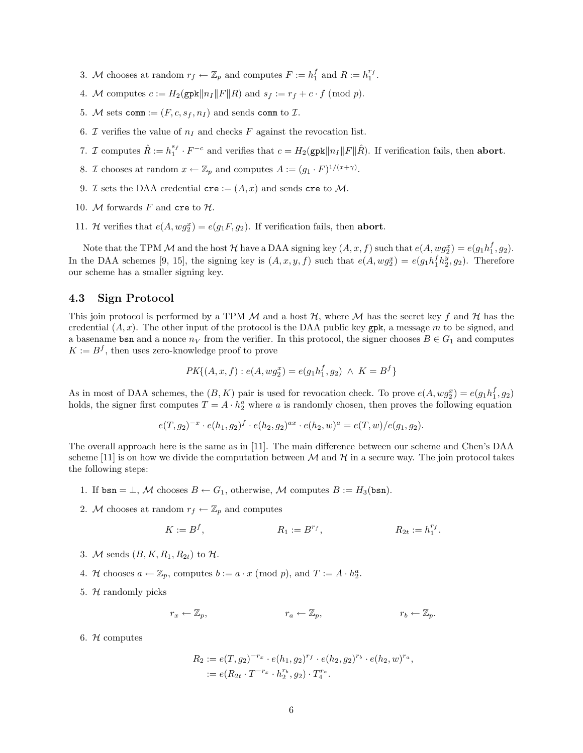- 3. M chooses at random  $r_f \leftarrow \mathbb{Z}_p$  and computes  $F := h_1^f$  and  $R := h_1^{r_f}$ .
- 4. M computes  $c := H_2(\text{gpk}\|n_I\|F\|R)$  and  $s_f := r_f + c \cdot f \pmod{p}$ .
- 5. M sets comm :=  $(F, c, s_f, n_I)$  and sends comm to  $\mathcal{I}$ .
- 6.  $\mathcal I$  verifies the value of  $n_I$  and checks  $F$  against the revocation list.
- 7. I computes  $\hat{R} := h_1^{s_f} \cdot F^{-c}$  and verifies that  $c = H_2(\text{gpk} || n_I || F || \hat{R})$ . If verification fails, then **abort**.
- 8. *I* chooses at random  $x \leftarrow \mathbb{Z}_p$  and computes  $A := (g_1 \cdot F)^{1/(x+\gamma)}$ .
- 9. *I* sets the DAA credential  $\mathbf{c} \cdot \mathbf{r} = (A, x)$  and sends  $\mathbf{c} \cdot \mathbf{r} \in \mathcal{M}$ .
- 10. M forwards  $F$  and cre to  $H$ .
- 11. H verifies that  $e(A, wg_2^x) = e(g_1F, g_2)$ . If verification fails, then **abort**.

Note that the TPM M and the host H have a DAA signing key  $(A, x, f)$  such that  $e(A, wg_2^x) = e(g_1h_1^f, g_2)$ . In the DAA schemes [9, 15], the signing key is  $(A, x, y, f)$  such that  $e(A, wg_2^x) = e(g_1h_1^f h_2^y, g_2)$ . Therefore our scheme has a smaller signing key.

#### 4.3 Sign Protocol

This join protocol is performed by a TPM M and a host  $H$ , where M has the secret key f and H has the credential  $(A, x)$ . The other input of the protocol is the DAA public key gpk, a message m to be signed, and a basename bsn and a nonce  $n_V$  from the verifier. In this protocol, the signer chooses  $B \in G_1$  and computes  $K := B<sup>f</sup>$ , then uses zero-knowledge proof to prove

$$
PK{(A, x, f) : e(A, wg_2^x) = e(g_1h_1^f, g_2) \land K = B^f}
$$

As in most of DAA schemes, the  $(B, K)$  pair is used for revocation check. To prove  $e(A, wg_2^x) = e(g_1 h_1^f, g_2)$ holds, the signer first computes  $T = A \cdot h_2^a$  where a is randomly chosen, then proves the following equation

$$
e(T, g_2)^{-x} \cdot e(h_1, g_2)^f \cdot e(h_2, g_2)^{ax} \cdot e(h_2, w)^a = e(T, w)/e(g_1, g_2).
$$

The overall approach here is the same as in [11]. The main difference between our scheme and Chen's DAA scheme [11] is on how we divide the computation between  $M$  and  $H$  in a secure way. The join protocol takes the following steps:

- 1. If  $bsn = \bot$ , M chooses  $B \leftarrow G_1$ , otherwise, M computes  $B := H_3(bsn)$ .
- 2. M chooses at random  $r_f \leftarrow \mathbb{Z}_p$  and computes

$$
K := B^f, \t R_1 := B^{r_f}, \t R_{2t} := h_1^{r_f}.
$$

- 3. M sends  $(B, K, R_1, R_{2t})$  to  $\mathcal{H}$ .
- 4. H chooses  $a \leftarrow \mathbb{Z}_p$ , computes  $b := a \cdot x \pmod{p}$ , and  $T := A \cdot h_2^a$ .
- 5. H randomly picks

$$
r_x \leftarrow \mathbb{Z}_p, \qquad \qquad r_a \leftarrow \mathbb{Z}_p, \qquad \qquad r_b \leftarrow \mathbb{Z}_p.
$$

6.  $H$  computes

$$
R_2 := e(T, g_2)^{-r_x} \cdot e(h_1, g_2)^{r_f} \cdot e(h_2, g_2)^{r_b} \cdot e(h_2, w)^{r_a},
$$
  
 := 
$$
e(R_{2t} \cdot T^{-r_x} \cdot h_2^{r_b}, g_2) \cdot T_4^{r_a}.
$$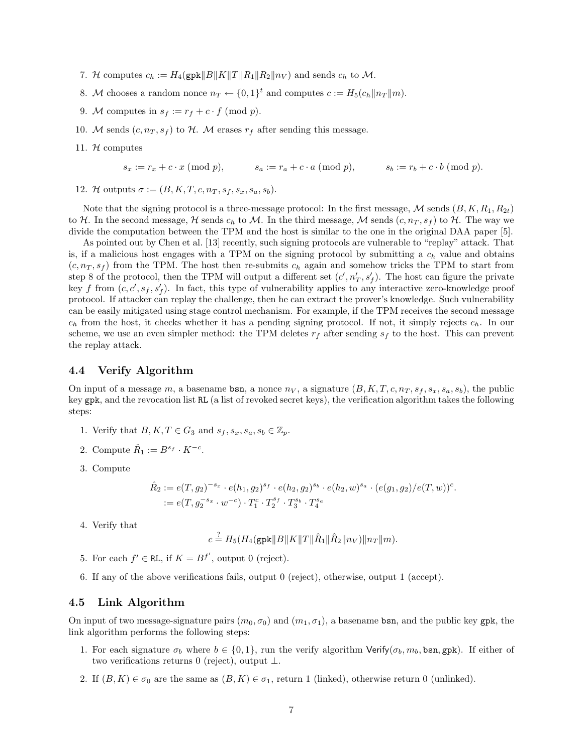- 7. H computes  $c_h := H_4(\text{gpk}||B||K||T||R_1||R_2||n_V)$  and sends  $c_h$  to M.
- 8. M chooses a random nonce  $n_T \leftarrow \{0,1\}^t$  and computes  $c := H_5(c_h || n_T || m)$ .
- 9. M computes in  $s_f := r_f + c \cdot f \pmod{p}$ .
- 10. M sends  $(c, n_T, s_f)$  to H. M erases  $r_f$  after sending this message.
- 11.  $H$  computes

$$
s_x := r_x + c \cdot x \pmod{p}, \qquad s_a := r_a + c \cdot a \pmod{p}, \qquad s_b := r_b + c \cdot b \pmod{p}.
$$

12. H outputs  $\sigma := (B, K, T, c, n_T, s_f, s_x, s_a, s_b).$ 

Note that the signing protocol is a three-message protocol: In the first message,  $\mathcal M$  sends  $(B, K, R_1, R_{2t})$ to H. In the second message, H sends  $c_h$  to M. In the third message, M sends  $(c, n_T, s_f)$  to H. The way we divide the computation between the TPM and the host is similar to the one in the original DAA paper [5].

As pointed out by Chen et al. [13] recently, such signing protocols are vulnerable to "replay" attack. That is, if a malicious host engages with a TPM on the signing protocol by submitting a  $c<sub>h</sub>$  value and obtains  $(c, n_T, s_f)$  from the TPM. The host then re-submits  $c_h$  again and somehow tricks the TPM to start from step 8 of the protocol, then the TPM will output a different set  $(c', n'_T, s'_f)$ . The host can figure the private key f from  $(c, c', s_f, s'_f)$ . In fact, this type of vulnerability applies to any interactive zero-knowledge proof protocol. If attacker can replay the challenge, then he can extract the prover's knowledge. Such vulnerability can be easily mitigated using stage control mechanism. For example, if the TPM receives the second message  $c_h$  from the host, it checks whether it has a pending signing protocol. If not, it simply rejects  $c_h$ . In our scheme, we use an even simpler method: the TPM deletes  $r_f$  after sending  $s_f$  to the host. This can prevent the replay attack.

#### 4.4 Verify Algorithm

On input of a message m, a basename bsn, a nonce  $n<sub>V</sub>$ , a signature  $(B, K, T, c, n<sub>T</sub>, s<sub>t</sub>, s<sub>x</sub>, s<sub>a</sub>, s<sub>b</sub>)$ , the public key gpk, and the revocation list RL (a list of revoked secret keys), the verification algorithm takes the following steps:

- 1. Verify that  $B, K, T \in G_3$  and  $s_f, s_x, s_a, s_b \in \mathbb{Z}_p$ .
- 2. Compute  $\hat{R}_1 := B^{s_f} \cdot K^{-c}$ .
- 3. Compute

$$
\hat{R}_2 := e(T, g_2)^{-s_x} \cdot e(h_1, g_2)^{s_f} \cdot e(h_2, g_2)^{s_b} \cdot e(h_2, w)^{s_a} \cdot (e(g_1, g_2)/e(T, w))^c.
$$
  
 := 
$$
e(T, g_2^{-s_x} \cdot w^{-c}) \cdot T_1^c \cdot T_2^{s_f} \cdot T_3^{s_b} \cdot T_4^{s_a}
$$

4. Verify that

$$
c \stackrel{?}{=} H_5(H_4(\text{gpk}||B||K||T||\hat{R}_1||\hat{R}_2||n_V)||n_T||m).
$$

- 5. For each  $f' \in \text{RL}$ , if  $K = B^{f'}$ , output 0 (reject).
- 6. If any of the above verifications fails, output 0 (reject), otherwise, output 1 (accept).

#### 4.5 Link Algorithm

On input of two message-signature pairs  $(m_0, \sigma_0)$  and  $(m_1, \sigma_1)$ , a basename **bsn**, and the public key gpk, the link algorithm performs the following steps:

- 1. For each signature  $\sigma_b$  where  $b \in \{0, 1\}$ , run the verify algorithm Verify( $\sigma_b$ ,  $m_b$ , bsn, gpk). If either of two verifications returns 0 (reject), output ⊥.
- 2. If  $(B, K) \in \sigma_0$  are the same as  $(B, K) \in \sigma_1$ , return 1 (linked), otherwise return 0 (unlinked).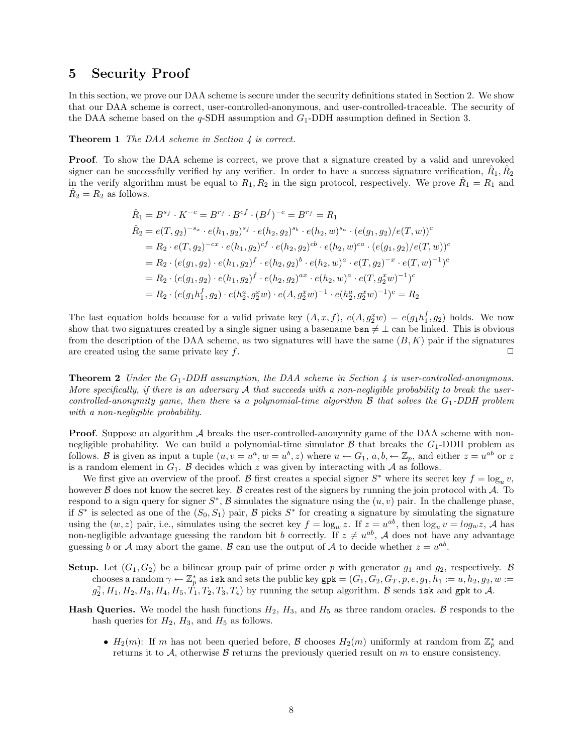### 5 Security Proof

In this section, we prove our DAA scheme is secure under the security definitions stated in Section 2. We show that our DAA scheme is correct, user-controlled-anonymous, and user-controlled-traceable. The security of the DAA scheme based on the  $q$ -SDH assumption and  $G_1$ -DDH assumption defined in Section 3.

**Theorem 1** The DAA scheme in Section  $\lambda$  is correct.

**Proof.** To show the DAA scheme is correct, we prove that a signature created by a valid and unrevoked signer can be successfully verified by any verifier. In order to have a success signature verification,  $\hat{R}_1, \hat{R}_2$ in the verify algorithm must be equal to  $R_1, R_2$  in the sign protocol, respectively. We prove  $\hat{R}_1 = R_1$  and  $\hat{R}_2 = R_2$  as follows.

$$
\hat{R}_1 = B^{s_f} \cdot K^{-c} = B^{r_f} \cdot B^{cf} \cdot (B^f)^{-c} = B^{r_f} = R_1
$$
  
\n
$$
\hat{R}_2 = e(T, g_2)^{-s_x} \cdot e(h_1, g_2)^{s_f} \cdot e(h_2, g_2)^{s_b} \cdot e(h_2, w)^{s_a} \cdot (e(g_1, g_2)/e(T, w))^c
$$
  
\n
$$
= R_2 \cdot e(T, g_2)^{-cx} \cdot e(h_1, g_2)^{cf} \cdot e(h_2, g_2)^{cb} \cdot e(h_2, w)^{ca} \cdot (e(g_1, g_2)/e(T, w))^c
$$
  
\n
$$
= R_2 \cdot (e(g_1, g_2) \cdot e(h_1, g_2)^f \cdot e(h_2, g_2)^b \cdot e(h_2, w)^a \cdot e(T, g_2)^{-x} \cdot e(T, w)^{-1})^c
$$
  
\n
$$
= R_2 \cdot (e(g_1, g_2) \cdot e(h_1, g_2)^f \cdot e(h_2, g_2)^{ax} \cdot e(h_2, w)^a \cdot e(T, g_2^x w)^{-1})^c
$$
  
\n
$$
= R_2 \cdot (e(g_1 h_1^f, g_2) \cdot e(h_2^a, g_2^x w) \cdot e(A, g_2^x w)^{-1} \cdot e(h_2^a, g_2^x w)^{-1})^c = R_2
$$

The last equation holds because for a valid private key  $(A, x, f)$ ,  $e(A, g_2^x w) = e(g_1 h_1^f, g_2)$  holds. We now show that two signatures created by a single signer using a basename  $bsn \neq \bot$  can be linked. This is obvious from the description of the DAA scheme, as two signatures will have the same  $(B, K)$  pair if the signatures are created using the same private key  $f$ .

**Theorem 2** Under the  $G_1$ -DDH assumption, the DAA scheme in Section 4 is user-controlled-anonymous. More specifically, if there is an adversary  $A$  that succeeds with a non-negligible probability to break the usercontrolled-anonymity game, then there is a polynomial-time algorithm  $\beta$  that solves the  $G_1$ -DDH problem with a non-negligible probability.

**Proof.** Suppose an algorithm A breaks the user-controlled-anonymity game of the DAA scheme with nonnegligible probability. We can build a polynomial-time simulator  $\beta$  that breaks the  $G_1$ -DDH problem as follows. B is given as input a tuple  $(u, v = u^a, w = u^b, z)$  where  $u \leftarrow G_1, a, b, \leftarrow \mathbb{Z}_p$ , and either  $z = u^{ab}$  or z is a random element in  $G_1$ . B decides which z was given by interacting with A as follows.

We first give an overview of the proof. B first creates a special signer  $S^*$  where its secret key  $f = \log_u v$ , however  $\beta$  does not know the secret key.  $\beta$  creates rest of the signers by running the join protocol with  $\mathcal{A}$ . To respond to a sign query for signer  $S^*$ ,  $\mathcal B$  simulates the signature using the  $(u, v)$  pair. In the challenge phase, if  $S^*$  is selected as one of the  $(S_0, S_1)$  pair,  $\mathcal B$  picks  $S^*$  for creating a signature by simulating the signature using the  $(w, z)$  pair, i.e., simulates using the secret key  $f = \log_w z$ . If  $z = u^{ab}$ , then  $\log_u v = \log_w z$ , A has non-negligible advantage guessing the random bit b correctly. If  $z \neq u^{ab}$ , A does not have any advantage guessing b or A may abort the game. B can use the output of A to decide whether  $z = u^{ab}$ .

- Setup. Let  $(G_1, G_2)$  be a bilinear group pair of prime order p with generator  $g_1$  and  $g_2$ , respectively. B chooses a random  $\gamma \leftarrow \mathbb{Z}_p^*$  as isk and sets the public key  $\texttt{gpk} = (G_1, G_2, G_T, p, e, g_1, h_1 := u, h_2, g_2, w :=$  $g_2^{\gamma}, H_1, H_2, H_3, H_4, H_5, T_1, T_2, T_3, T_4$  by running the setup algorithm. B sends isk and gpk to A.
- **Hash Queries.** We model the hash functions  $H_2$ ,  $H_3$ , and  $H_5$  as three random oracles. B responds to the hash queries for  $H_2$ ,  $H_3$ , and  $H_5$  as follows.
	- $H_2(m)$ : If m has not been queried before,  $\mathcal B$  chooses  $H_2(m)$  uniformly at random from  $\mathbb Z_p^*$  and returns it to A, otherwise  $\beta$  returns the previously queried result on m to ensure consistency.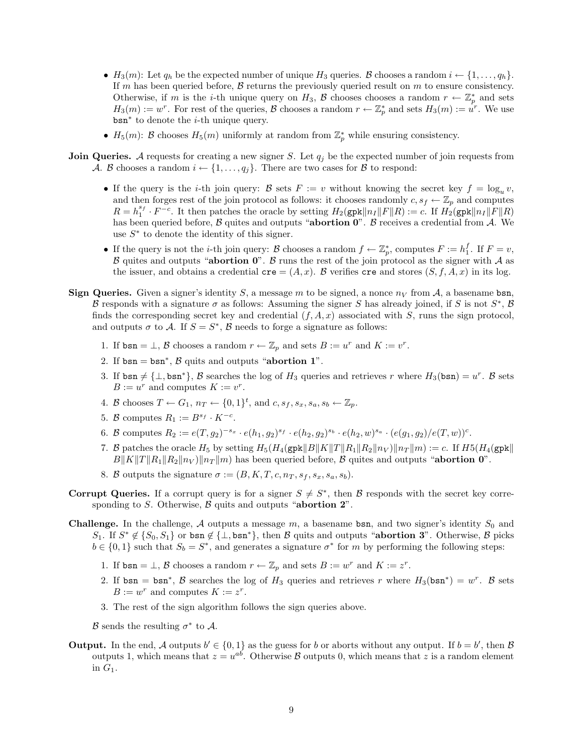- $H_3(m)$ : Let  $q_h$  be the expected number of unique  $H_3$  queries. B chooses a random  $i \leftarrow \{1, \ldots, q_h\}$ . If m has been queried before,  $\beta$  returns the previously queried result on m to ensure consistency. Otherwise, if m is the *i*-th unique query on  $H_3$ ,  $\beta$  chooses chooses a random  $r \leftarrow \mathbb{Z}_p^*$  and sets  $H_3(m) := w^r$ . For rest of the queries,  $\mathcal{B}$  chooses a random  $r \leftarrow \mathbb{Z}_p^*$  and sets  $H_3(m) := u^r$ . We use bsn<sup>∗</sup> to denote the i-th unique query.
- $H_5(m)$ : B chooses  $H_5(m)$  uniformly at random from  $\mathbb{Z}_p^*$  while ensuring consistency.

**Join Queries.** A requests for creating a new signer S. Let  $q_j$  be the expected number of join requests from A. B chooses a random  $i \leftarrow \{1, \ldots, q_i\}$ . There are two cases for B to respond:

- If the query is the *i*-th join query:  $\mathcal{B}$  sets  $F := v$  without knowing the secret key  $f = \log_u v$ , and then forges rest of the join protocol as follows: it chooses randomly  $c, s_f \leftarrow \mathbb{Z}_p$  and computes  $R = h_1^{s_f} \cdot F^{-c}$ . It then patches the oracle by setting  $H_2(\text{gpk}||n_I||F||R) := c$ . If  $H_2(\text{gpk}||n_I||F||R)$ has been queried before,  $\beta$  quites and outputs "abortion 0".  $\beta$  receives a credential from  $\mathcal{A}$ . We use  $S^*$  to denote the identity of this signer.
- If the query is not the *i*-th join query: B chooses a random  $f \leftarrow \mathbb{Z}_p^*$ , computes  $F := h_1^f$ . If  $F = v$ ,  $\beta$  quites and outputs "abortion 0".  $\beta$  runs the rest of the join protocol as the signer with  $\mathcal A$  as the issuer, and obtains a credential  $\mathbf{cre} = (A, x)$ . B verifies  $\mathbf{cre}$  and stores  $(S, f, A, x)$  in its log.
- **Sign Queries.** Given a signer's identity S, a message m to be signed, a nonce  $n<sub>V</sub>$  from A, a basename bsn, B responds with a signature  $\sigma$  as follows: Assuming the signer S has already joined, if S is not  $S^*$ , B finds the corresponding secret key and credential  $(f, A, x)$  associated with S, runs the sign protocol, and outputs  $\sigma$  to A. If  $S = S^*$ ,  $\mathcal{B}$  needs to forge a signature as follows:
	- 1. If  $bsn = \bot$ ,  $\beta$  chooses a random  $r \leftarrow \mathbb{Z}_p$  and sets  $B := u^r$  and  $K := v^r$ .
	- 2. If  $bsn = bsn^*$ ,  $\beta$  quits and outputs "abortion 1".
	- 3. If  $bsn \neq {\perp,bsn^*}, \mathcal{B}$  searches the log of  $H_3$  queries and retrieves r where  $H_3(bsn) = u^r$ .  $\mathcal{B}$  sets  $B := u^r$  and computes  $K := v^r$ .
	- 4. B chooses  $T \leftarrow G_1$ ,  $n_T \leftarrow \{0,1\}^t$ , and  $c, s_f, s_x, s_a, s_b \leftarrow \mathbb{Z}_p$ .
	- 5. B computes  $R_1 := B^{s_f} \cdot K^{-c}$ .
	- 6. B computes  $R_2 := e(T, g_2)^{-s_x} \cdot e(h_1, g_2)^{s_f} \cdot e(h_2, g_2)^{s_b} \cdot e(h_2, w)^{s_a} \cdot (e(g_1, g_2)/e(T, w))^c$ .
	- 7. B patches the oracle  $H_5$  by setting  $H_5(H_4(\text{gpk}\|B\|K\|T\|R_1\|R_2\|n_V)\|n_T\|m) := c$ . If  $H_5(H_4(\text{gpk}\|T\|R_1\|R_2\|n_V)\|n_T\|m)$  $B||K||T||R_1||R_2||n_V||n_T||m$  has been queried before,  $\beta$  quites and outputs "abortion 0".
	- 8. B outputs the signature  $\sigma := (B, K, T, c, n_T, s_f, s_x, s_a, s_b).$
- **Corrupt Queries.** If a corrupt query is for a signer  $S \neq S^*$ , then B responds with the secret key corresponding to S. Otherwise,  $\beta$  quits and outputs "abortion  $2$ ".
- **Challenge.** In the challenge, A outputs a message  $m$ , a basename bsn, and two signer's identity  $S_0$  and S<sub>1</sub>. If  $S^* \notin \{S_0, S_1\}$  or bsn  $\notin \{\perp, \text{bsn*}\}\$ , then B quits and outputs "abortion 3". Otherwise, B picks  $b \in \{0,1\}$  such that  $S_b = S^*$ , and generates a signature  $\sigma^*$  for m by performing the following steps:
	- 1. If  $bsn = \bot$ , B chooses a random  $r \leftarrow \mathbb{Z}_p$  and sets  $B := w^r$  and  $K := z^r$ .
	- 2. If  $bsn = bsn^*$ , B searches the log of  $H_3$  queries and retrieves r where  $H_3(bsn^*) = w^r$ . B sets  $B := w^r$  and computes  $K := z^r$ .
	- 3. The rest of the sign algorithm follows the sign queries above.

B sends the resulting  $\sigma^*$  to A.

**Output.** In the end, A outputs  $b' \in \{0, 1\}$  as the guess for b or aborts without any output. If  $b = b'$ , then  $\beta$ outputs 1, which means that  $z = u^{ab}$ . Otherwise  $\mathcal B$  outputs 0, which means that z is a random element in  $G_1$ .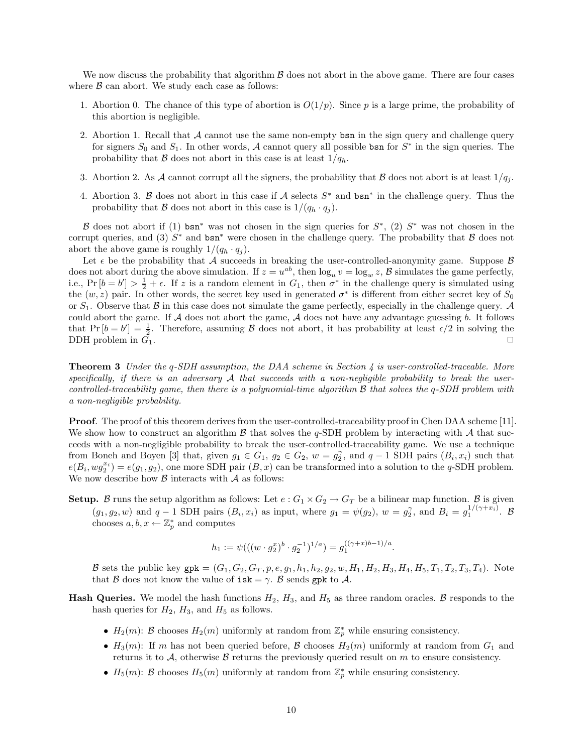We now discuss the probability that algorithm  $\beta$  does not abort in the above game. There are four cases where  $\beta$  can abort. We study each case as follows:

- 1. Abortion 0. The chance of this type of abortion is  $O(1/p)$ . Since p is a large prime, the probability of this abortion is negligible.
- 2. Abortion 1. Recall that  $A$  cannot use the same non-empty  $bsn$  in the sign query and challenge query for signers  $S_0$  and  $S_1$ . In other words, A cannot query all possible bsn for  $S^*$  in the sign queries. The probability that B does not abort in this case is at least  $1/q_h$ .
- 3. Abortion 2. As A cannot corrupt all the signers, the probability that B does not abort is at least  $1/q_j$ .
- 4. Abortion 3. B does not abort in this case if A selects  $S^*$  and  $bsn^*$  in the challenge query. Thus the probability that B does not abort in this case is  $1/(q_h \cdot q_i)$ .

B does not abort if (1) bsn<sup>\*</sup> was not chosen in the sign queries for  $S^*$ , (2)  $S^*$  was not chosen in the corrupt queries, and (3)  $S^*$  and bsn<sup>\*</sup> were chosen in the challenge query. The probability that  $\beta$  does not abort the above game is roughly  $1/(q_h \cdot q_i)$ .

Let  $\epsilon$  be the probability that A succeeds in breaking the user-controlled-anonymity game. Suppose  $\beta$ does not abort during the above simulation. If  $z = u^{ab}$ , then  $\log_u v = \log_w z$ ,  $\mathcal{B}$  simulates the game perfectly, i.e.,  $Pr[b = b'] > \frac{1}{2} + \epsilon$ . If z is a random element in  $G_1$ , then  $\sigma^*$  in the challenge query is simulated using the  $(w, z)$  pair. In other words, the secret key used in generated  $\sigma^*$  is different from either secret key of  $S_0$ or  $S_1$ . Observe that  $\beta$  in this case does not simulate the game perfectly, especially in the challenge query.  $\mathcal A$ could abort the game. If  $A$  does not abort the game,  $A$  does not have any advantage guessing b. It follows that  $Pr[b = b'] = \frac{1}{2}$ . Therefore, assuming B does not abort, it has probability at least  $\epsilon/2$  in solving the DDH problem in  $\tilde{G_1}$ .

**Theorem 3** Under the  $q$ -SDH assumption, the DAA scheme in Section 4 is user-controlled-traceable. More specifically, if there is an adversary  $A$  that succeeds with a non-negligible probability to break the usercontrolled-traceability game, then there is a polynomial-time algorithm B that solves the q-SDH problem with a non-negligible probability.

Proof. The proof of this theorem derives from the user-controlled-traceability proof in Chen DAA scheme [11]. We show how to construct an algorithm  $\beta$  that solves the q-SDH problem by interacting with  $\mathcal A$  that succeeds with a non-negligible probability to break the user-controlled-traceability game. We use a technique from Boneh and Boyen [3] that, given  $g_1 \in G_1$ ,  $g_2 \in G_2$ ,  $w = g_2^{\gamma}$ , and  $q - 1$  SDH pairs  $(B_i, x_i)$  such that  $e(B_i, wg_2^{x_i}) = e(g_1, g_2)$ , one more SDH pair  $(B, x)$  can be transformed into a solution to the q-SDH problem. We now describe how  $\beta$  interacts with  $\mathcal A$  as follows:

**Setup.** B runs the setup algorithm as follows: Let  $e : G_1 \times G_2 \to G_T$  be a bilinear map function. B is given  $(g_1, g_2, w)$  and  $q-1$  SDH pairs  $(B_i, x_i)$  as input, where  $g_1 = \psi(g_2)$ ,  $w = g_2^{\gamma}$ , and  $B_i = g_1^{1/(\gamma + x_i)}$ . B chooses  $a, b, x \leftarrow \mathbb{Z}_p^*$  and computes

$$
h_1 := \psi(((w \cdot g_2^x)^b \cdot g_2^{-1})^{1/a}) = g_1^{((\gamma + x)b - 1)/a}.
$$

B sets the public key  $gpk = (G_1, G_2, G_T, p, e, g_1, h_1, h_2, g_2, w, H_1, H_2, H_3, H_4, H_5, T_1, T_2, T_3, T_4)$ . Note that B does not know the value of  $i s k = \gamma$ . B sends gpk to A.

- **Hash Queries.** We model the hash functions  $H_2$ ,  $H_3$ , and  $H_5$  as three random oracles. B responds to the hash queries for  $H_2$ ,  $H_3$ , and  $H_5$  as follows.
	- $H_2(m)$ : B chooses  $H_2(m)$  uniformly at random from  $\mathbb{Z}_p^*$  while ensuring consistency.
	- $H_3(m)$ : If m has not been queried before, B chooses  $H_2(m)$  uniformly at random from  $G_1$  and returns it to A, otherwise  $\beta$  returns the previously queried result on m to ensure consistency.
	- $H_5(m)$ : B chooses  $H_5(m)$  uniformly at random from  $\mathbb{Z}_p^*$  while ensuring consistency.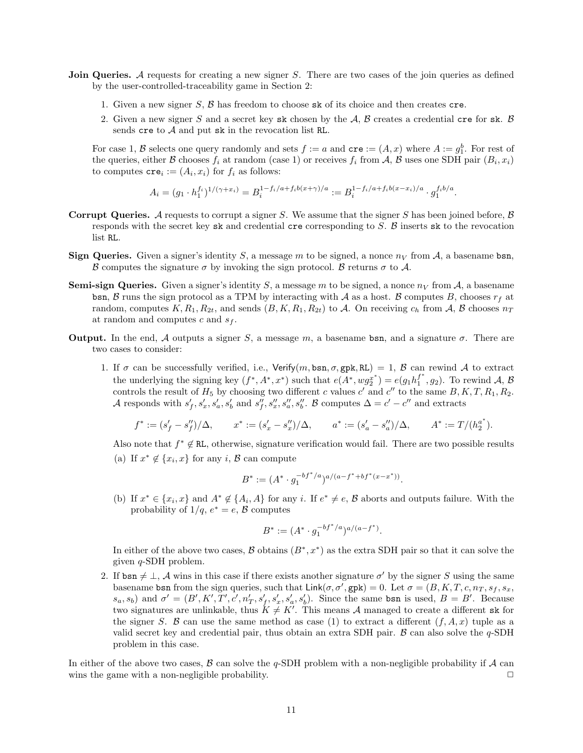- **Join Queries.** A requests for creating a new signer S. There are two cases of the join queries as defined by the user-controlled-traceability game in Section 2:
	- 1. Given a new signer  $S$ ,  $\beta$  has freedom to choose  $s$ k of its choice and then creates cre.
	- 2. Given a new signer S and a secret key sk chosen by the  $A$ ,  $B$  creates a credential cre for sk.  $B$ sends  $\mathsf{cre}$  to  $\mathcal A$  and put  $\mathsf{sk}$  in the revocation list RL.

For case 1, B selects one query randomly and sets  $f := a$  and  $\mathsf{cre} := (A, x)$  where  $A := g_1^b$ . For rest of the queries, either B chooses  $f_i$  at random (case 1) or receives  $f_i$  from A, B uses one SDH pair  $(B_i, x_i)$ to computes  $\texttt{cre}_i := (A_i, x_i)$  for  $f_i$  as follows:

$$
A_i = (g_1 \cdot h_1^{f_i})^{1/(\gamma + x_i)} = B_i^{1 - f_i/a + f_ib(x + \gamma)/a} := B_i^{1 - f_i/a + f_ib(x - x_i)/a} \cdot g_1^{f_ib/a}.
$$

- **Corrupt Queries.** A requests to corrupt a signer S. We assume that the signer S has been joined before,  $\beta$ responds with the secret key sk and credential cre corresponding to S. B inserts sk to the revocation list RL.
- **Sign Queries.** Given a signer's identity S, a message m to be signed, a nonce  $n<sub>V</sub>$  from A, a basename bsn, B computes the signature  $\sigma$  by invoking the sign protocol. B returns  $\sigma$  to A.
- **Semi-sign Queries.** Given a signer's identity S, a message m to be signed, a nonce  $n<sub>V</sub>$  from A, a basename bsn, B runs the sign protocol as a TPM by interacting with A as a host. B computes B, chooses  $r_f$  at random, computes  $K, R_1, R_{2t}$ , and sends  $(B, K, R_1, R_{2t})$  to A. On receiving  $c_h$  from A, B chooses  $n_T$ at random and computes  $c$  and  $s_f$ .
- **Output.** In the end, A outputs a signer S, a message m, a basename bsn, and a signature  $\sigma$ . There are two cases to consider:
	- 1. If  $\sigma$  can be successfully verified, i.e., Verify $(m, \text{bsn}, \sigma, \text{gpk}, \text{RL}) = 1$ ,  $\beta$  can rewind  $\mathcal A$  to extract the underlying the signing key  $(f^*, A^*, x^*)$  such that  $e(A^*, wg_2^{x^*})$  $\left(\begin{smallmatrix} x^* \ 2 \end{smallmatrix}\right) = e(g_1 h_1^{f^*})$  $I_1$ ,  $g_2$ ). To rewind  $A, B$ controls the result of  $H_5$  by choosing two different c values c' and c'' to the same  $B, K, T, R_1, R_2$ . A responds with  $s'_f, s'_x, s'_a, s'_b$  and  $s''_f, s''_x, s''_a, s''_b$ . B computes  $\Delta = c' - c''$  and extracts

$$
f^* := (s'_f - s''_f)/\Delta, \qquad x^* := (s'_x - s''_x)/\Delta, \qquad a^* := (s'_a - s''_a)/\Delta, \qquad A^* := T/(h_2^{a^*}).
$$

Also note that  $f^* \notin \mathbb{R}$ , otherwise, signature verification would fail. There are two possible results (a) If  $x^* \notin \{x_i, x\}$  for any i,  $\mathcal{B}$  can compute

$$
B^* := (A^* \cdot g_1^{-b f^*/a})^{a/(a-f^*+bf^*(x-x^*))}.
$$

(b) If  $x^* \in \{x_i, x\}$  and  $A^* \notin \{A_i, A\}$  for any i. If  $e^* \neq e$ ,  $\beta$  aborts and outputs failure. With the probability of  $1/q, e^* = e, \mathcal{B}$  computes

$$
B^* := (A^* \cdot g_1^{-b f^*/a})^{a/(a-f^*)}.
$$

In either of the above two cases,  $\mathcal{B}$  obtains  $(B^*, x^*)$  as the extra SDH pair so that it can solve the given q-SDH problem.

2. If  $bsn \neq \bot$ , A wins in this case if there exists another signature  $\sigma'$  by the signer S using the same basename bsn from the sign queries, such that  $\text{Link}(\sigma, \sigma', \text{gpk}) = 0$ . Let  $\sigma = (B, K, T, c, n_T, s_f, s_x,$  $(s_a, s_b)$  and  $\sigma' = (B', K', T', c', n'_T, s'_f, s'_x, s'_a, s'_b)$ . Since the same bsn is used,  $B = B'$ . Because two signatures are unlinkable, thus  $K \neq K'$ . This means A managed to create a different sk for the signer S. B can use the same method as case (1) to extract a different  $(f, A, x)$  tuple as a valid secret key and credential pair, thus obtain an extra SDH pair.  $\beta$  can also solve the  $q$ -SDH problem in this case.

In either of the above two cases,  $\beta$  can solve the q-SDH problem with a non-negligible probability if  $\mathcal A$  can wins the game with a non-negligible probability.  $\Box$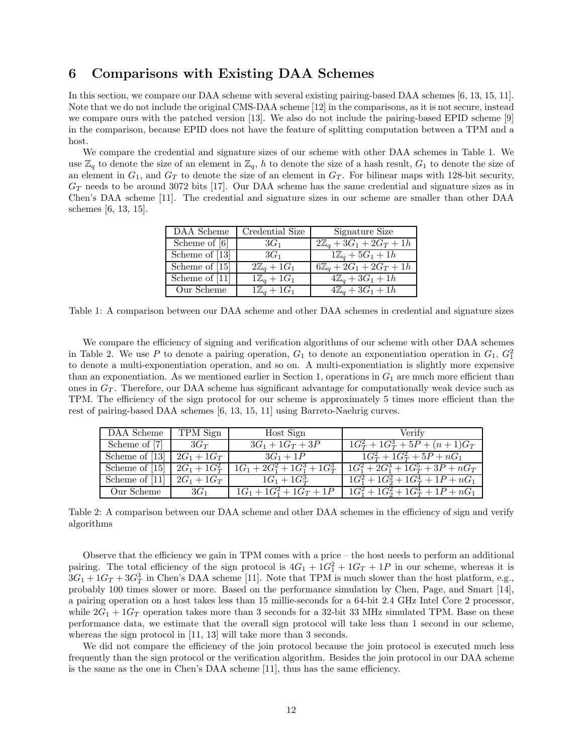### 6 Comparisons with Existing DAA Schemes

In this section, we compare our DAA scheme with several existing pairing-based DAA schemes [6, 13, 15, 11]. Note that we do not include the original CMS-DAA scheme [12] in the comparisons, as it is not secure, instead we compare ours with the patched version [13]. We also do not include the pairing-based EPID scheme [9] in the comparison, because EPID does not have the feature of splitting computation between a TPM and a host.

We compare the credential and signature sizes of our scheme with other DAA schemes in Table 1. We use  $\mathbb{Z}_q$  to denote the size of an element in  $\mathbb{Z}_q$ , h to denote the size of a hash result,  $G_1$  to denote the size of an element in  $G_1$ , and  $G_T$  to denote the size of an element in  $G_T$ . For bilinear maps with 128-bit security,  $G_T$  needs to be around 3072 bits [17]. Our DAA scheme has the same credential and signature sizes as in Chen's DAA scheme [11]. The credential and signature sizes in our scheme are smaller than other DAA schemes [6, 13, 15].

| DAA Scheme       | Credential Size        | Signature Size                     |
|------------------|------------------------|------------------------------------|
| Scheme of [6]    | $3G_1$                 | $2\mathbb{Z}_q + 3G_1 + 2G_T + 1h$ |
| Scheme of $[13]$ | $3G_1$                 | $1\mathbb{Z}_q + 5G_1 + 1h$        |
| Scheme of [15]   | $2\mathbb{Z}_q + 1G_1$ | $6\mathbb{Z}_q + 2G_1 + 2G_T + 1h$ |
| Scheme of [11]   | $1\mathbb{Z}_q + 1G_1$ | $4\mathbb{Z}_q + 3G_1 + 1h$        |
| Our Scheme       | $1\mathbb{Z}_q + 1G_1$ | $4\mathbb{Z}_q + 3G_1 + 1h$        |

Table 1: A comparison between our DAA scheme and other DAA schemes in credential and signature sizes

We compare the efficiency of signing and verification algorithms of our scheme with other DAA schemes in Table 2. We use P to denote a pairing operation,  $G_1$  to denote an exponentiation operation in  $G_1$ ,  $G_1^2$ to denote a multi-exponentiation operation, and so on. A multi-exponentiation is slightly more expensive than an exponentiation. As we mentioned earlier in Section 1, operations in  $G_1$  are much more efficient than ones in  $G_T$ . Therefore, our DAA scheme has significant advantage for computationally weak device such as TPM. The efficiency of the sign protocol for our scheme is approximately 5 times more efficient than the rest of pairing-based DAA schemes [6, 13, 15, 11] using Barreto-Naehrig curves.

| DAA Scheme     | TPM Sign      | Host Sign                                  | Verify                                 |
|----------------|---------------|--------------------------------------------|----------------------------------------|
| Scheme of [7]  | $3G_T$        | $3G_1 + 1G_T + 3P$                         | $1G_T^2 + 1G_T^3 + 5P + (n+1)G_T$      |
| Scheme of [13] | $ 2G_1+1G_T $ | $3G_1 + 1P$                                | $1G_T^2 + 1G_T^2 + 5P + nG_1$          |
| Scheme of [15] |               | $12G_1+1G_T^2$ $1G_1+2G_1^2+1G_1^3+1G_T^3$ | $1G_1^2 + 2G_1^3 + 1G_T^5 + 3P + nG_T$ |
| Scheme of [11] |               | $1G_1 + 1G_T$ $1G_1 + 1G_T^3$              | $1G_1^2 + 1G_2^2 + 1G_T^4 + 1P + nG_1$ |
| Our Scheme     | $3G_1$        | $1G_1 + 1G_1^2 + 1G_T + 1P$                | $1G_1^2 + 1G_2^2 + 1G_T^4 + 1P + nG_1$ |

Table 2: A comparison between our DAA scheme and other DAA schemes in the efficiency of sign and verify algorithms

Observe that the efficiency we gain in TPM comes with a price – the host needs to perform an additional pairing. The total efficiency of the sign protocol is  $4G_1 + 1G_1^2 + 1G_T + 1P$  in our scheme, whereas it is  $3G_1 + 1G_T + 3G_T^3$  in Chen's DAA scheme [11]. Note that TPM is much slower than the host platform, e.g., probably 100 times slower or more. Based on the performance simulation by Chen, Page, and Smart [14], a pairing operation on a host takes less than 15 millie-seconds for a 64-bit 2.4 GHz Intel Core 2 processor, while  $2G_1 + 1G_T$  operation takes more than 3 seconds for a 32-bit 33 MHz simulated TPM. Base on these performance data, we estimate that the overall sign protocol will take less than 1 second in our scheme, whereas the sign protocol in [11, 13] will take more than 3 seconds.

We did not compare the efficiency of the join protocol because the join protocol is executed much less frequently than the sign protocol or the verification algorithm. Besides the join protocol in our DAA scheme is the same as the one in Chen's DAA scheme [11], thus has the same efficiency.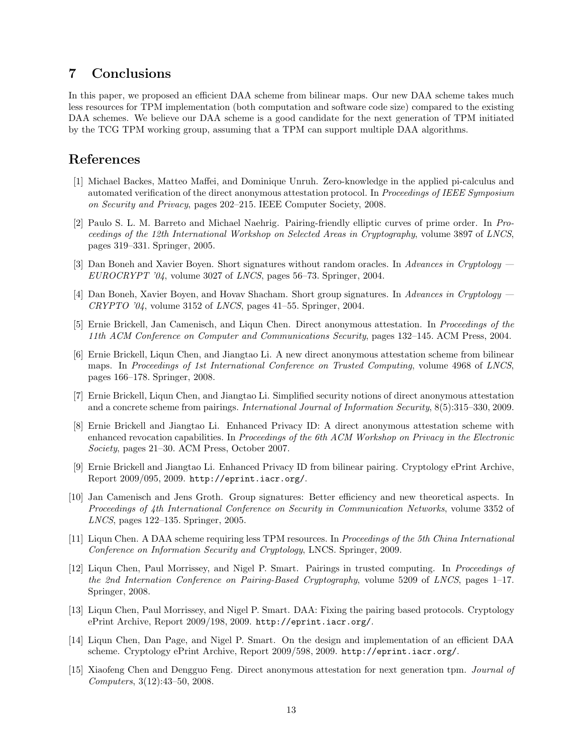### 7 Conclusions

In this paper, we proposed an efficient DAA scheme from bilinear maps. Our new DAA scheme takes much less resources for TPM implementation (both computation and software code size) compared to the existing DAA schemes. We believe our DAA scheme is a good candidate for the next generation of TPM initiated by the TCG TPM working group, assuming that a TPM can support multiple DAA algorithms.

### References

- [1] Michael Backes, Matteo Maffei, and Dominique Unruh. Zero-knowledge in the applied pi-calculus and automated verification of the direct anonymous attestation protocol. In Proceedings of IEEE Symposium on Security and Privacy, pages 202–215. IEEE Computer Society, 2008.
- [2] Paulo S. L. M. Barreto and Michael Naehrig. Pairing-friendly elliptic curves of prime order. In Proceedings of the 12th International Workshop on Selected Areas in Cryptography, volume 3897 of LNCS, pages 319–331. Springer, 2005.
- [3] Dan Boneh and Xavier Boyen. Short signatures without random oracles. In Advances in Cryptology EUROCRYPT '04, volume 3027 of LNCS, pages 56–73. Springer, 2004.
- [4] Dan Boneh, Xavier Boyen, and Hovav Shacham. Short group signatures. In Advances in Cryptology  $CRYPTO$  '04, volume 3152 of LNCS, pages 41–55. Springer, 2004.
- [5] Ernie Brickell, Jan Camenisch, and Liqun Chen. Direct anonymous attestation. In Proceedings of the 11th ACM Conference on Computer and Communications Security, pages 132–145. ACM Press, 2004.
- [6] Ernie Brickell, Liqun Chen, and Jiangtao Li. A new direct anonymous attestation scheme from bilinear maps. In Proceedings of 1st International Conference on Trusted Computing, volume 4968 of LNCS, pages 166–178. Springer, 2008.
- [7] Ernie Brickell, Liqun Chen, and Jiangtao Li. Simplified security notions of direct anonymous attestation and a concrete scheme from pairings. International Journal of Information Security, 8(5):315–330, 2009.
- [8] Ernie Brickell and Jiangtao Li. Enhanced Privacy ID: A direct anonymous attestation scheme with enhanced revocation capabilities. In Proceedings of the 6th ACM Workshop on Privacy in the Electronic Society, pages 21–30. ACM Press, October 2007.
- [9] Ernie Brickell and Jiangtao Li. Enhanced Privacy ID from bilinear pairing. Cryptology ePrint Archive, Report 2009/095, 2009. http://eprint.iacr.org/.
- [10] Jan Camenisch and Jens Groth. Group signatures: Better efficiency and new theoretical aspects. In Proceedings of 4th International Conference on Security in Communication Networks, volume 3352 of LNCS, pages 122–135. Springer, 2005.
- [11] Liqun Chen. A DAA scheme requiring less TPM resources. In Proceedings of the 5th China International Conference on Information Security and Cryptology, LNCS. Springer, 2009.
- [12] Liqun Chen, Paul Morrissey, and Nigel P. Smart. Pairings in trusted computing. In Proceedings of the 2nd Internation Conference on Pairing-Based Cryptography, volume 5209 of LNCS, pages 1–17. Springer, 2008.
- [13] Liqun Chen, Paul Morrissey, and Nigel P. Smart. DAA: Fixing the pairing based protocols. Cryptology ePrint Archive, Report 2009/198, 2009. http://eprint.iacr.org/.
- [14] Liqun Chen, Dan Page, and Nigel P. Smart. On the design and implementation of an efficient DAA scheme. Cryptology ePrint Archive, Report 2009/598, 2009. http://eprint.iacr.org/.
- [15] Xiaofeng Chen and Dengguo Feng. Direct anonymous attestation for next generation tpm. Journal of Computers, 3(12):43–50, 2008.